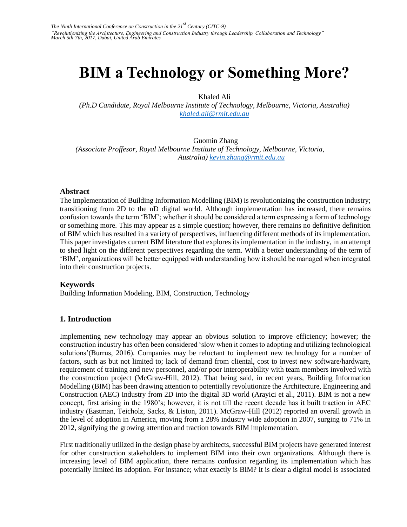# **BIM a Technology or Something More?**

Khaled Ali

*(Ph.D Candidate, Royal Melbourne Institute of Technology, Melbourne, Victoria, Australia) khaled.ali@rmit.edu.au*

Guomin Zhang *(Associate Proffesor, Royal Melbourne Institute of Technology, Melbourne, Victoria, Australia) [kevin.zhang@rmit.edu.au](mailto:kevin.zhang@rmit.edu.au)*

#### **Abstract**

The implementation of Building Information Modelling (BIM) is revolutionizing the construction industry; transitioning from 2D to the nD digital world. Although implementation has increased, there remains confusion towards the term 'BIM'; whether it should be considered a term expressing a form of technology or something more. This may appear as a simple question; however, there remains no definitive definition of BIM which has resulted in a variety of perspectives, influencing different methods of its implementation. This paper investigates current BIM literature that explores its implementation in the industry, in an attempt to shed light on the different perspectives regarding the term. With a better understanding of the term of 'BIM', organizations will be better equipped with understanding how it should be managed when integrated into their construction projects.

#### **Keywords**

Building Information Modeling, BIM, Construction, Technology

#### **1. Introduction**

Implementing new technology may appear an obvious solution to improve efficiency; however; the construction industry has often been considered 'slow when it comes to adopting and utilizing technological solutions'(Burrus, 2016). Companies may be reluctant to implement new technology for a number of factors, such as but not limited to; lack of demand from cliental, cost to invest new software/hardware, requirement of training and new personnel, and/or poor interoperability with team members involved with the construction project (McGraw-Hill, 2012). That being said, in recent years, Building Information Modelling (BIM) has been drawing attention to potentially revolutionize the Architecture, Engineering and Construction (AEC) Industry from 2D into the digital 3D world (Arayici et al., 2011). BIM is not a new concept, first arising in the 1980's; however, it is not till the recent decade has it built traction in AEC industry (Eastman, Teicholz, Sacks, & Liston, 2011). McGraw-Hill (2012) reported an overall growth in the level of adoption in America, moving from a 28% industry wide adoption in 2007, surging to 71% in 2012, signifying the growing attention and traction towards BIM implementation.

First traditionally utilized in the design phase by architects, successful BIM projects have generated interest for other construction stakeholders to implement BIM into their own organizations. Although there is increasing level of BIM application, there remains confusion regarding its implementation which has potentially limited its adoption. For instance; what exactly is BIM? It is clear a digital model is associated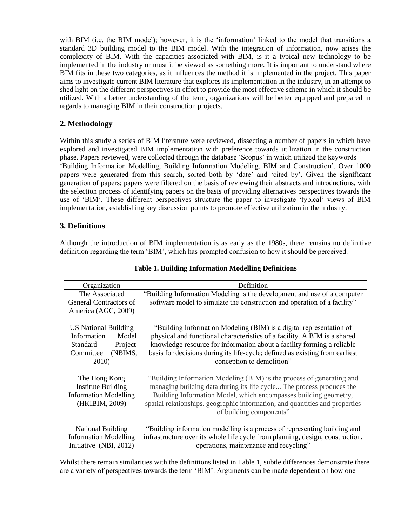with BIM (i.e. the BIM model); however, it is the 'information' linked to the model that transitions a standard 3D building model to the BIM model. With the integration of information, now arises the complexity of BIM. With the capacities associated with BIM, is it a typical new technology to be implemented in the industry or must it be viewed as something more. It is important to understand where BIM fits in these two categories, as it influences the method it is implemented in the project. This paper aims to investigate current BIM literature that explores its implementation in the industry, in an attempt to shed light on the different perspectives in effort to provide the most effective scheme in which it should be utilized. With a better understanding of the term, organizations will be better equipped and prepared in regards to managing BIM in their construction projects.

## **2. Methodology**

Within this study a series of BIM literature were reviewed, dissecting a number of papers in which have explored and investigated BIM implementation with preference towards utilization in the construction phase. Papers reviewed, were collected through the database 'Scopus' in which utilized the keywords 'Building Information Modelling, Building Information Modeling, BIM and Construction'. Over 1000 papers were generated from this search, sorted both by 'date' and 'cited by'. Given the significant generation of papers; papers were filtered on the basis of reviewing their abstracts and introductions, with the selection process of identifying papers on the basis of providing alternatives perspectives towards the use of 'BIM'. These different perspectives structure the paper to investigate 'typical' views of BIM implementation, establishing key discussion points to promote effective utilization in the industry.

## **3. Definitions**

Although the introduction of BIM implementation is as early as the 1980s, there remains no definitive definition regarding the term 'BIM', which has prompted confusion to how it should be perceived.

| Organization                                                                                                | Definition                                                                                                                                                                                                                                                                                                                             |  |
|-------------------------------------------------------------------------------------------------------------|----------------------------------------------------------------------------------------------------------------------------------------------------------------------------------------------------------------------------------------------------------------------------------------------------------------------------------------|--|
| The Associated<br><b>General Contractors of</b><br>America (AGC, 2009)                                      | "Building Information Modeling is the development and use of a computer<br>software model to simulate the construction and operation of a facility"                                                                                                                                                                                    |  |
| <b>US National Building</b><br>Information<br>Model<br>Standard<br>Project<br>Committee<br>(NBIMS,<br>2010) | "Building Information Modeling (BIM) is a digital representation of<br>physical and functional characteristics of a facility. A BIM is a shared<br>knowledge resource for information about a facility forming a reliable<br>basis for decisions during its life-cycle; defined as existing from earliest<br>conception to demolition" |  |
| The Hong Kong<br><b>Institute Building</b><br><b>Information Modelling</b><br>(HKIBIM, 2009)                | "Building Information Modeling (BIM) is the process of generating and<br>managing building data during its life cycle The process produces the<br>Building Information Model, which encompasses building geometry,<br>spatial relationships, geographic information, and quantities and properties<br>of building components"          |  |
| <b>National Building</b><br><b>Information Modelling</b><br>Initiative (NBI, 2012)                          | "Building information modelling is a process of representing building and<br>infrastructure over its whole life cycle from planning, design, construction,<br>operations, maintenance and recycling"                                                                                                                                   |  |

#### **Table 1. Building Information Modelling Definitions**

Whilst there remain similarities with the definitions listed in Table 1, subtle differences demonstrate there are a variety of perspectives towards the term 'BIM'. Arguments can be made dependent on how one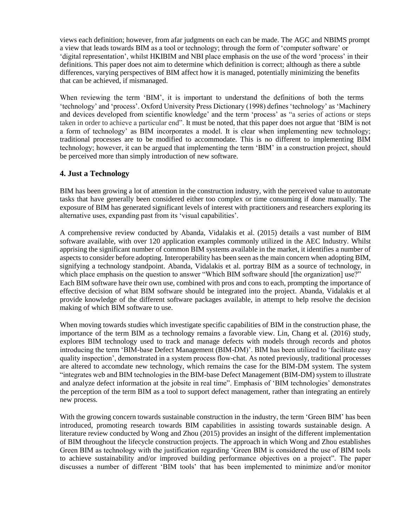views each definition; however, from afar judgments on each can be made. The AGC and NBIMS prompt a view that leads towards BIM as a tool or technology; through the form of 'computer software' or 'digital representation', whilst HKIBIM and NBI place emphasis on the use of the word 'process' in their definitions. This paper does not aim to determine which definition is correct; although as there a subtle differences, varying perspectives of BIM affect how it is managed, potentially minimizing the benefits that can be achieved, if mismanaged.

When reviewing the term 'BIM', it is important to understand the definitions of both the terms 'technology' and 'process'. Oxford University Press Dictionary (1998) defines 'technology' as 'Machinery and devices developed from scientific knowledge' and the term 'process' as "a series of actions or steps taken in order to achieve a particular end". It must be noted, that this paper does not argue that 'BIM is not a form of technology' as BIM incorporates a model. It is clear when implementing new technology; traditional processes are to be modified to accommodate. This is no different to implementing BIM technology; however, it can be argued that implementing the term 'BIM' in a construction project, should be perceived more than simply introduction of new software.

## **4. Just a Technology**

BIM has been growing a lot of attention in the construction industry, with the perceived value to automate tasks that have generally been considered either too complex or time consuming if done manually. The exposure of BIM has generated significant levels of interest with practitioners and researchers exploring its alternative uses, expanding past from its 'visual capabilities'.

A comprehensive review conducted by Abanda, Vidalakis et al. (2015) details a vast number of BIM software available, with over 120 application examples commonly utilized in the AEC Industry. Whilst apprising the significant number of common BIM systems available in the market, it identifies a number of aspects to consider before adopting. Interoperability has been seen as the main concern when adopting BIM, signifying a technology standpoint. Abanda, Vidalakis et al. portray BIM as a source of technology, in which place emphasis on the question to answer "Which BIM software should [the organization] use?" Each BIM software have their own use, combined with pros and cons to each, prompting the importance of effective decision of what BIM software should be integrated into the project. Abanda, Vidalakis et al provide knowledge of the different software packages available, in attempt to help resolve the decision making of which BIM software to use.

When moving towards studies which investigate specific capabilities of BIM in the construction phase, the importance of the term BIM as a technology remains a favorable view. Lin, Chang et al. (2016) study, explores BIM technology used to track and manage defects with models through records and photos introducing the term 'BIM-base Defect Management (BIM-DM)'. BIM has been utilized to 'facilitate easy quality inspection', demonstrated in a system process flow-chat. As noted previously, traditional processes are altered to accomdate new technology, which remains the case for the BIM-DM system. The system "integrates web and BIM technologies in the BIM-base Defect Management (BIM-DM) system to illustrate and analyze defect information at the jobsite in real time". Emphasis of 'BIM technologies' demonstrates the perception of the term BIM as a tool to support defect management, rather than integrating an entirely new process.

With the growing concern towards sustainable construction in the industry, the term 'Green BIM' has been introduced, promoting research towards BIM capabilities in assisting towards sustainable design. A literature review conducted by Wong and Zhou (2015) provides an insight of the different implementation of BIM throughout the lifecycle construction projects. The approach in which Wong and Zhou establishes Green BIM as technology with the justification regarding 'Green BIM is considered the use of BIM tools to achieve sustainability and/or improved building performance objectives on a project". The paper discusses a number of different 'BIM tools' that has been implemented to minimize and/or monitor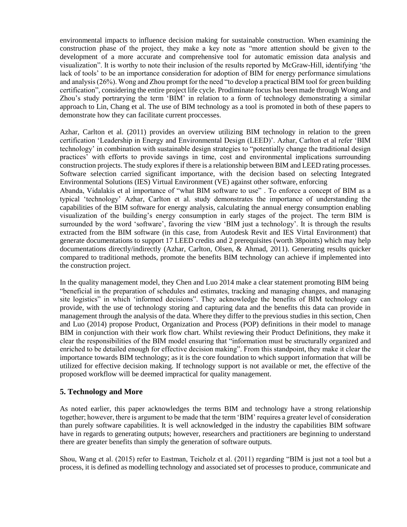environmental impacts to influence decision making for sustainable construction. When examining the construction phase of the project, they make a key note as "more attention should be given to the development of a more accurate and comprehensive tool for automatic emission data analysis and visualization". It is worthy to note their inclusion of the results reported by McGraw-Hill, identifying 'the lack of tools' to be an importance consideration for adoption of BIM for energy performance simulations and analysis (26%). Wong and Zhou prompt for the need "to develop a practical BIM tool for green building certification", considering the entire project life cycle. Prodiminate focus has been made through Wong and Zhou's study portrarying the term 'BIM' in relation to a form of technology demonstrating a similar approach to Lin, Chang et al. The use of BIM technology as a tool is promoted in both of these papers to demonstrate how they can facilitate current proccesses.

Azhar, Carlton et al. (2011) provides an overview utilizing BIM technology in relation to the green certification 'Leadership in Energy and Environmental Design (LEED)'. Azhar, Carlton et al refer 'BIM technology' in combination with sustainable design strategies to "potentially change the traditional design practices' with efforts to provide savings in time, cost and environmental implications surrounding construction projects. The study explores if there is a relationship between BIM and LEED rating processes. Software selection carried significant importance, with the decision based on selecting Integrated Environmental Solutions (IES) Virtual Environment (VE) against other software, enforcing

Abanda, Vidalakis et al importance of "what BIM software to use" . To enforce a concept of BIM as a typical 'technology' Azhar, Carlton et al. study demonstrates the importance of understanding the capabilities of the BIM software for energy analysis, calculating the annual energy consumption enabling visualization of the building's energy consumption in early stages of the project. The term BIM is surrounded by the word 'software', favoring the view 'BIM just a technology'. It is through the results extracted from the BIM software (in this case, from Autodesk Revit and IES Virtal Environment) that generate documentations to support 17 LEED credits and 2 prerequisites (worth 38points) which may help documentations directly/indirectly (Azhar, Carlton, Olsen, & Ahmad, 2011). Generating results quicker compared to traditional methods, promote the benefits BIM technology can achieve if implemented into the construction project.

In the quality management model, they Chen and Luo 2014 make a clear statement promoting BIM being "beneficial in the preparation of schedules and estimates, tracking and managing changes, and managing site logistics" in which 'informed decisions". They acknowledge the benefits of BIM technology can provide, with the use of technology storing and capturing data and the benefits this data can provide in management through the analysis of the data. Where they differ to the previous studies in this section, Chen and Luo (2014) propose Product, Organization and Process (POP) definitions in their model to manage BIM in conjunction with their work flow chart. Whilst reviewing their Product Definitions, they make it clear the responsibilities of the BIM model ensuring that "information must be structurally organized and enriched to be detailed enough for effective decision making". From this standpoint, they make it clear the importance towards BIM technology; as it is the core foundation to which support information that will be utilized for effective decision making. If technology support is not available or met, the effective of the proposed workflow will be deemed impractical for quality management.

## **5. Technology and More**

As noted earlier, this paper acknowledges the terms BIM and technology have a strong relationship together; however, there is argument to be made that the term 'BIM' requires a greater level of consideration than purely software capabilities. It is well acknowledged in the industry the capabilities BIM software have in regards to generating outputs; however, researchers and practitioners are beginning to understand there are greater benefits than simply the generation of software outputs.

Shou, Wang et al. (2015) refer to Eastman, Teicholz et al. (2011) regarding "BIM is just not a tool but a process, it is defined as modelling technology and associated set of processes to produce, communicate and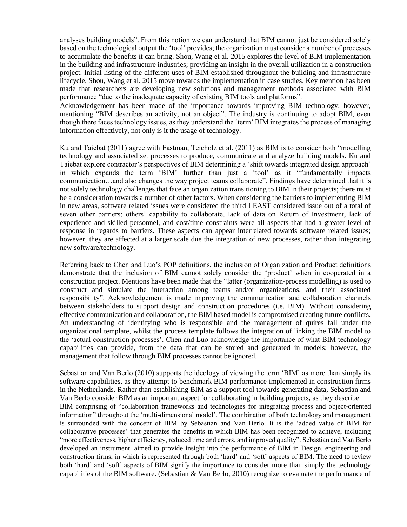analyses building models". From this notion we can understand that BIM cannot just be considered solely based on the technological output the 'tool' provides; the organization must consider a number of processes to accumulate the benefits it can bring. Shou, Wang et al. 2015 explores the level of BIM implementation in the building and infrastructure industries; providing an insight in the overall utilization in a construction project. Initial listing of the different uses of BIM established throughout the building and infrastructure lifecycle, Shou, Wang et al. 2015 move towards the implementation in case studies. Key mention has been made that researchers are developing new solutions and management methods associated with BIM performance "due to the inadequate capacity of existing BIM tools and platforms".

Acknowledgement has been made of the importance towards improving BIM technology; however, mentioning "BIM describes an activity, not an object". The industry is continuing to adopt BIM, even though there faces technology issues, as they understand the 'term' BIM integrates the process of managing information effectively, not only is it the usage of technology.

Ku and Taiebat (2011) agree with Eastman, Teicholz et al. (2011) as BIM is to consider both "modelling technology and associated set processes to produce, communicate and analyze building models. Ku and Taiebat explore contractor's perspectives of BIM determining a 'shift towards integrated design approach' in which expands the term 'BIM' further than just a 'tool' as it "fundamentally impacts communication…and also changes the way project teams collaborate". Findings have determined that it is not solely technology challenges that face an organization transitioning to BIM in their projects; there must be a consideration towards a number of other factors. When considering the barriers to implementing BIM in new areas, software related issues were considered the third LEAST considered issue out of a total of seven other barriers; others' capability to collaborate, lack of data on Return of Investment, lack of experience and skilled personnel, and cost/time constraints were all aspects that had a greater level of response in regards to barriers. These aspects can appear interrelated towards software related issues; however, they are affected at a larger scale due the integration of new processes, rather than integrating new software/technology.

Referring back to Chen and Luo's POP definitions, the inclusion of Organization and Product definitions demonstrate that the inclusion of BIM cannot solely consider the 'product' when in cooperated in a construction project. Mentions have been made that the "latter (organization-process modelling) is used to construct and simulate the interaction among teams and/or organizations, and their associated responsibility". Acknowledgement is made improving the communication and collaboration channels between stakeholders to support design and construction procedures (i.e. BIM). Without considering effective communication and collaboration, the BIM based model is compromised creating future conflicts. An understanding of identifying who is responsible and the management of quires fall under the organizational template, whilst the process template follows the integration of linking the BIM model to the 'actual construction processes'. Chen and Luo acknowledge the importance of what BIM technology capabilities can provide, from the data that can be stored and generated in models; however, the management that follow through BIM processes cannot be ignored.

Sebastian and Van Berlo (2010) supports the ideology of viewing the term 'BIM' as more than simply its software capabilities, as they attempt to benchmark BIM performance implemented in construction firms in the Netherlands. Rather than establishing BIM as a support tool towards generating data, Sebastian and Van Berlo consider BIM as an important aspect for collaborating in building projects, as they describe BIM comprising of "collaboration frameworks and technologies for integrating process and object-oriented information" throughout the 'multi-dimensional model'. The combination of both technology and management is surrounded with the concept of BIM by Sebastian and Van Berlo. It is the 'added value of BIM for collaborative processes' that generates the benefits in which BIM has been recognized to achieve, including "more effectiveness, higher efficiency, reduced time and errors, and improved quality". Sebastian and Van Berlo developed an instrument, aimed to provide insight into the performance of BIM in Design, engineering and construction firms, in which is represented through both 'hard' and 'soft' aspects of BIM. The need to review both 'hard' and 'soft' aspects of BIM signify the importance to consider more than simply the technology capabilities of the BIM software. (Sebastian  $&$  Van Berlo, 2010) recognize to evaluate the performance of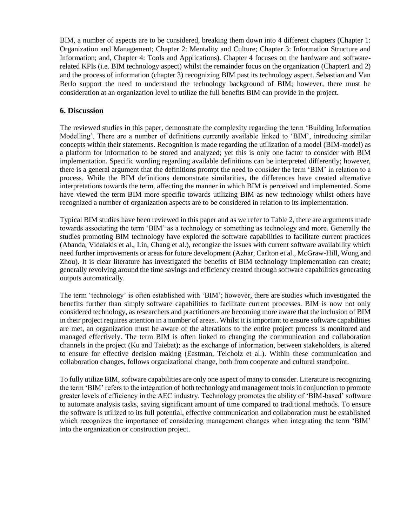BIM, a number of aspects are to be considered, breaking them down into 4 different chapters (Chapter 1: Organization and Management; Chapter 2: Mentality and Culture; Chapter 3: Information Structure and Information; and, Chapter 4: Tools and Applications). Chapter 4 focuses on the hardware and softwarerelated KPIs (i.e. BIM technology aspect) whilst the remainder focus on the organization (Chapter1 and 2) and the process of information (chapter 3) recognizing BIM past its technology aspect. Sebastian and Van Berlo support the need to understand the technology background of BIM; however, there must be consideration at an organization level to utilize the full benefits BIM can provide in the project.

## **6. Discussion**

The reviewed studies in this paper, demonstrate the complexity regarding the term 'Building Information Modelling'. There are a number of definitions currently available linked to 'BIM', introducing similar concepts within their statements. Recognition is made regarding the utilization of a model (BIM-model) as a platform for information to be stored and analyzed; yet this is only one factor to consider with BIM implementation. Specific wording regarding available definitions can be interpreted differently; however, there is a general argument that the definitions prompt the need to consider the term 'BIM' in relation to a process. While the BIM definitions demonstrate similarities, the differences have created alternative interpretations towards the term, affecting the manner in which BIM is perceived and implemented. Some have viewed the term BIM more specific towards utilizing BIM as new technology whilst others have recognized a number of organization aspects are to be considered in relation to its implementation.

Typical BIM studies have been reviewed in this paper and as we refer to Table 2, there are arguments made towards associating the term 'BIM' as a technology or something as technology and more. Generally the studies promoting BIM technology have explored the software capabilities to facilitate current practices (Abanda, Vidalakis et al., Lin, Chang et al.), recongize the issues with current software availability which need further improvements or areas for future development (Azhar, Carlton et al., McGraw-Hill, Wong and Zhou). It is clear literature has investigated the benefits of BIM technology implementation can create; generally revolving around the time savings and efficiency created through software capabilities generating outputs automatically.

The term 'technology' is often established with 'BIM'; however, there are studies which investigated the benefits further than simply software capabilities to facilitate current processes. BIM is now not only considered technology, as researchers and practitioners are becoming more aware that the inclusion of BIM in their project requires attention in a number of areas.. Whilst it is important to ensure software capabilities are met, an organization must be aware of the alterations to the entire project process is monitored and managed effectively. The term BIM is often linked to changing the communication and collaboration channels in the project (Ku and Taiebat); as the exchange of information, between stakeholders, is altered to ensure for effective decision making (Eastman, Teicholz et al.). Within these communication and collaboration changes, follows organizational change, both from cooperate and cultural standpoint.

To fully utilize BIM, software capabilities are only one aspect of many to consider. Literature is recognizing the term 'BIM' refers to the integration of both technology and management tools in conjunction to promote greater levels of efficiency in the AEC industry. Technology promotes the ability of 'BIM-based' software to automate analysis tasks, saving significant amount of time compared to traditional methods. To ensure the software is utilized to its full potential, effective communication and collaboration must be established which recognizes the importance of considering management changes when integrating the term 'BIM' into the organization or construction project.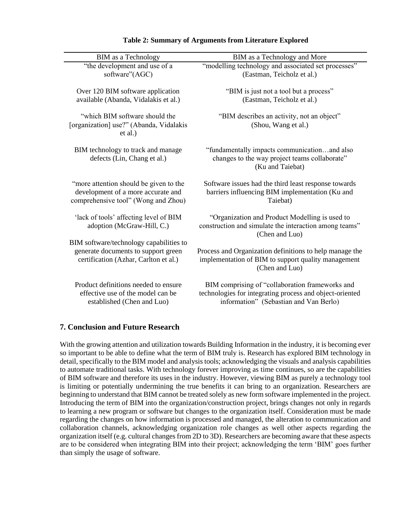| <b>BIM</b> as a Technology                                                           | BIM as a Technology and More                                                                                               |
|--------------------------------------------------------------------------------------|----------------------------------------------------------------------------------------------------------------------------|
| "the development and use of a                                                        | "modelling technology and associated set processes"                                                                        |
| software"(AGC)                                                                       | (Eastman, Teicholz et al.)                                                                                                 |
| Over 120 BIM software application                                                    | "BIM is just not a tool but a process"                                                                                     |
| available (Abanda, Vidalakis et al.)                                                 | (Eastman, Teicholz et al.)                                                                                                 |
| "which BIM software should the<br>[organization] use?" (Abanda, Vidalakis<br>et al.) | "BIM describes an activity, not an object"<br>(Shou, Wang et al.)                                                          |
| BIM technology to track and manage<br>defects (Lin, Chang et al.)                    | "fundamentally impacts communicationand also<br>changes to the way project teams collaborate"<br>(Ku and Taiebat)          |
| "more attention should be given to the                                               | Software issues had the third least response towards                                                                       |
| development of a more accurate and                                                   | barriers influencing BIM implementation (Ku and                                                                            |
| comprehensive tool" (Wong and Zhou)                                                  | Taiebat)                                                                                                                   |
| 'lack of tools' affecting level of BIM<br>adoption (McGraw-Hill, C.)                 | "Organization and Product Modelling is used to<br>construction and simulate the interaction among teams"<br>(Chen and Luo) |
| BIM software/technology capabilities to                                              | Process and Organization definitions to help manage the                                                                    |
| generate documents to support green                                                  | implementation of BIM to support quality management                                                                        |
| certification (Azhar, Carlton et al.)                                                | (Chen and Luo)                                                                                                             |
| Product definitions needed to ensure                                                 | BIM comprising of "collaboration frameworks and                                                                            |
| effective use of the model can be                                                    | technologies for integrating process and object-oriented                                                                   |
| established (Chen and Luo)                                                           | information" (Sebastian and Van Berlo)                                                                                     |

## **Table 2: Summary of Arguments from Literature Explored**

## **7. Conclusion and Future Research**

With the growing attention and utilization towards Building Information in the industry, it is becoming ever so important to be able to define what the term of BIM truly is. Research has explored BIM technology in detail, specifically to the BIM model and analysis tools; acknowledging the visuals and analysis capabilities to automate traditional tasks. With technology forever improving as time continues, so are the capabilities of BIM software and therefore its uses in the industry. However, viewing BIM as purely a technology tool is limiting or potentially undermining the true benefits it can bring to an organization. Researchers are beginning to understand that BIM cannot be treated solely as new form software implemented in the project. Introducing the term of BIM into the organization/construction project, brings changes not only in regards to learning a new program or software but changes to the organization itself. Consideration must be made regarding the changes on how information is processed and managed, the alteration to communication and collaboration channels, acknowledging organization role changes as well other aspects regarding the organization itself (e.g. cultural changes from 2D to 3D). Researchers are becoming aware that these aspects are to be considered when integrating BIM into their project; acknowledging the term 'BIM' goes further than simply the usage of software.